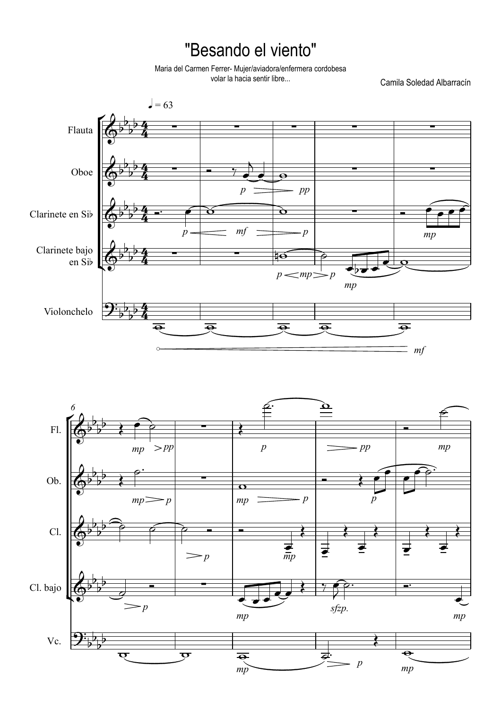## "Besando el viento"

Maria del Carmen Ferrer- Mujer/aviadora/enfermera cordobesa

Camila Soledad Albarracín



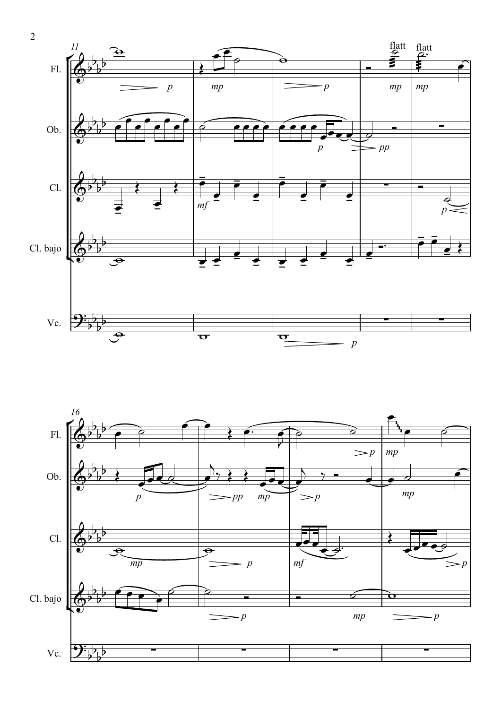



2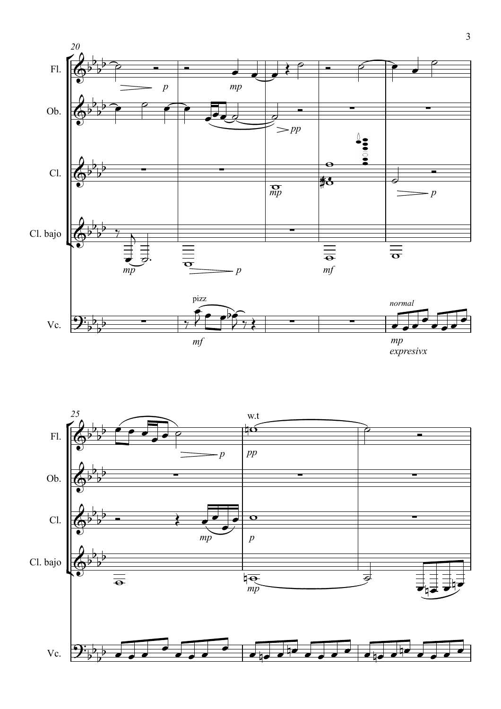

*mp expresivx*

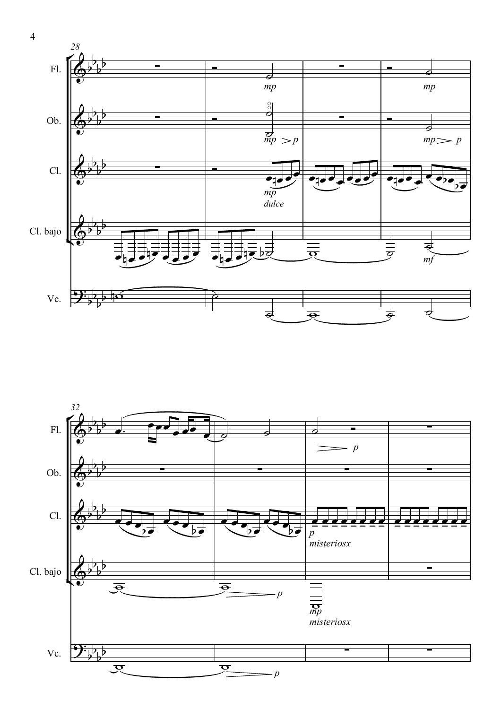

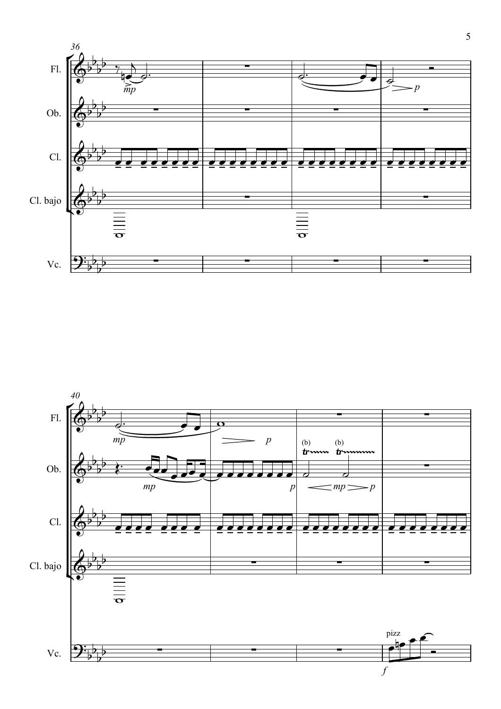

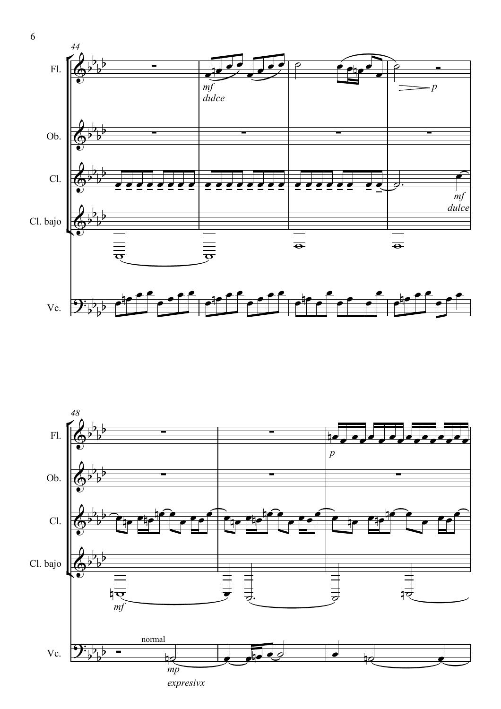



6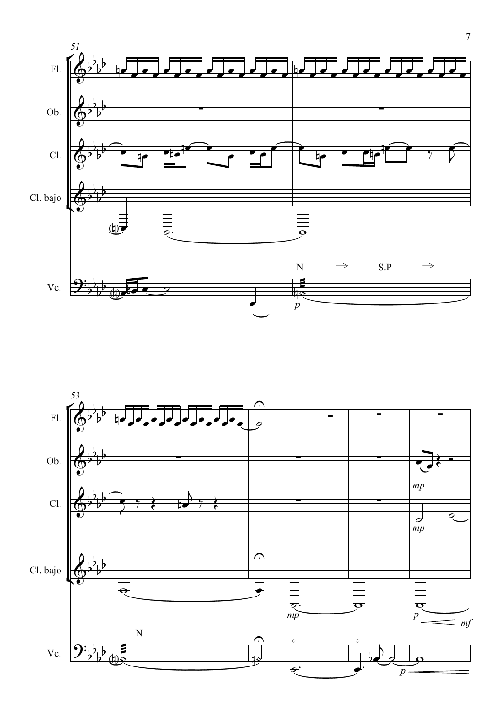

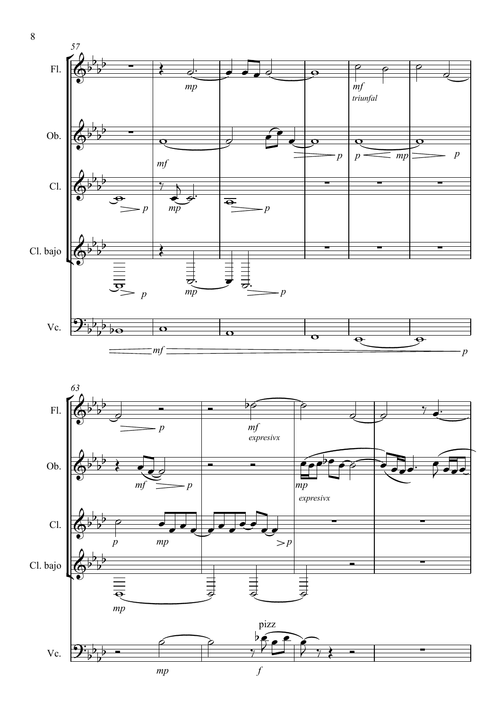



8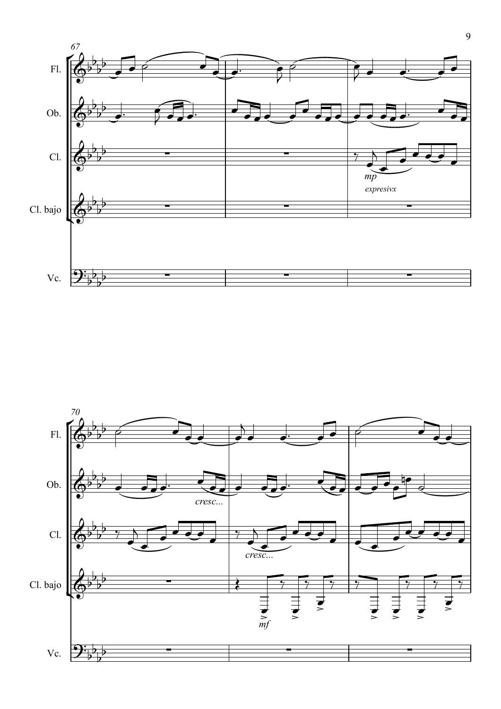

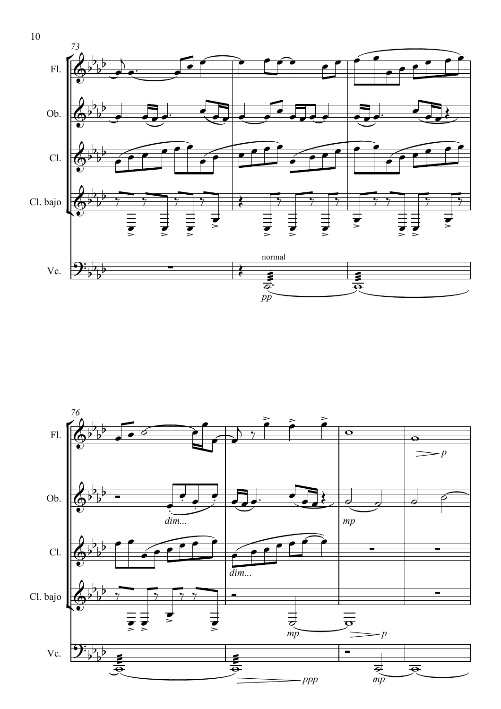